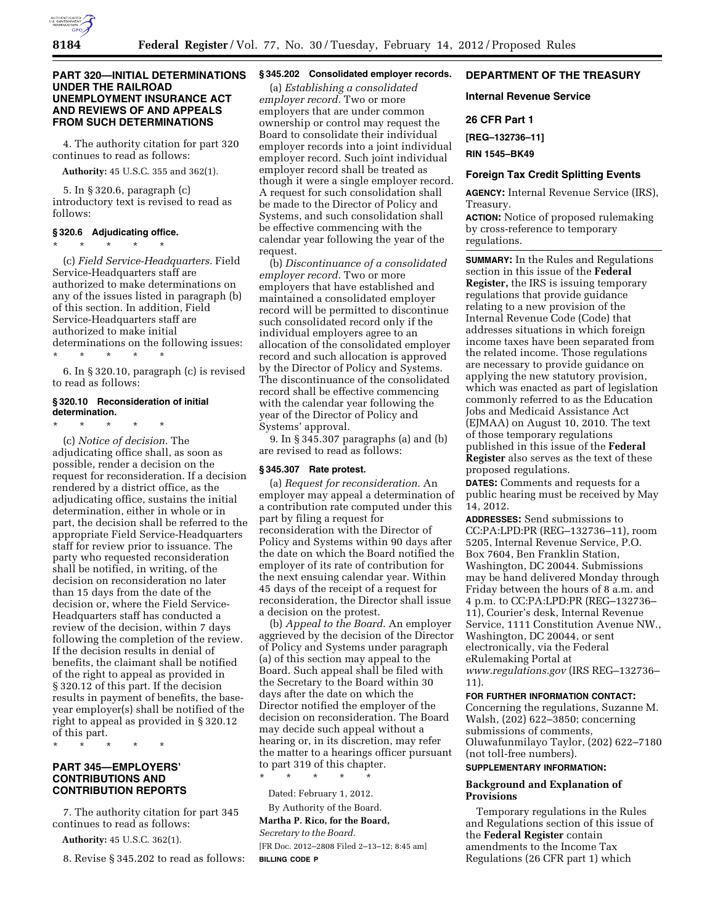

## **PART 320—INITIAL DETERMINATIONS UNDER THE RAILROAD UNEMPLOYMENT INSURANCE ACT AND REVIEWS OF AND APPEALS FROM SUCH DETERMINATIONS**

4. The authority citation for part 320 continues to read as follows:

**Authority:** 45 U.S.C. 355 and 362(1).

5. In § 320.6, paragraph (c) introductory text is revised to read as follows:

#### **§ 320.6 Adjudicating office.**

\* \* \* \* \* (c) *Field Service-Headquarters.* Field Service-Headquarters staff are authorized to make determinations on any of the issues listed in paragraph (b) of this section. In addition, Field Service-Headquarters staff are authorized to make initial determinations on the following issues:

\* \* \* \* \* 6. In § 320.10, paragraph (c) is revised to read as follows:

# **§ 320.10 Reconsideration of initial determination.**

\* \* \* \* \* (c) *Notice of decision.* The adjudicating office shall, as soon as possible, render a decision on the request for reconsideration. If a decision rendered by a district office, as the adjudicating office, sustains the initial determination, either in whole or in part, the decision shall be referred to the appropriate Field Service-Headquarters staff for review prior to issuance. The party who requested reconsideration shall be notified, in writing, of the decision on reconsideration no later than 15 days from the date of the decision or, where the Field Service-Headquarters staff has conducted a review of the decision, within 7 days following the completion of the review. If the decision results in denial of benefits, the claimant shall be notified of the right to appeal as provided in § 320.12 of this part. If the decision results in payment of benefits, the baseyear employer(s) shall be notified of the right to appeal as provided in § 320.12 of this part.

\* \* \* \* \*

## **PART 345—EMPLOYERS' CONTRIBUTIONS AND CONTRIBUTION REPORTS**

7. The authority citation for part 345 continues to read as follows:

**Authority:** 45 U.S.C. 362(1).

8. Revise § 345.202 to read as follows:

# **§ 345.202 Consolidated employer records.**

(a) *Establishing a consolidated employer record.* Two or more employers that are under common ownership or control may request the Board to consolidate their individual employer records into a joint individual employer record. Such joint individual employer record shall be treated as though it were a single employer record. A request for such consolidation shall be made to the Director of Policy and Systems, and such consolidation shall be effective commencing with the calendar year following the year of the request.

(b) *Discontinuance of a consolidated employer record.* Two or more employers that have established and maintained a consolidated employer record will be permitted to discontinue such consolidated record only if the individual employers agree to an allocation of the consolidated employer record and such allocation is approved by the Director of Policy and Systems. The discontinuance of the consolidated record shall be effective commencing with the calendar year following the year of the Director of Policy and Systems' approval.

9. In § 345.307 paragraphs (a) and (b) are revised to read as follows:

#### **§ 345.307 Rate protest.**

(a) *Request for reconsideration.* An employer may appeal a determination of a contribution rate computed under this part by filing a request for reconsideration with the Director of Policy and Systems within 90 days after the date on which the Board notified the employer of its rate of contribution for the next ensuing calendar year. Within 45 days of the receipt of a request for reconsideration, the Director shall issue a decision on the protest.

(b) *Appeal to the Board.* An employer aggrieved by the decision of the Director of Policy and Systems under paragraph (a) of this section may appeal to the Board. Such appeal shall be filed with the Secretary to the Board within 30 days after the date on which the Director notified the employer of the decision on reconsideration. The Board may decide such appeal without a hearing or, in its discretion, may refer the matter to a hearings officer pursuant to part 319 of this chapter.

\* \* \* \* \* Dated: February 1, 2012.

By Authority of the Board. **Martha P. Rico, for the Board,**  *Secretary to the Board.* 

[FR Doc. 2012–2808 Filed 2–13–12; 8:45 am] **BILLING CODE P** 

# **DEPARTMENT OF THE TREASURY**

#### **Internal Revenue Service**

## **26 CFR Part 1**

**[REG–132736–11]** 

**RIN 1545–BK49** 

#### **Foreign Tax Credit Splitting Events**

**AGENCY:** Internal Revenue Service (IRS), Treasury.

**ACTION:** Notice of proposed rulemaking by cross-reference to temporary regulations.

**SUMMARY:** In the Rules and Regulations section in this issue of the **Federal Register,** the IRS is issuing temporary regulations that provide guidance relating to a new provision of the Internal Revenue Code (Code) that addresses situations in which foreign income taxes have been separated from the related income. Those regulations are necessary to provide guidance on applying the new statutory provision, which was enacted as part of legislation commonly referred to as the Education Jobs and Medicaid Assistance Act (EJMAA) on August 10, 2010. The text of those temporary regulations published in this issue of the **Federal Register** also serves as the text of these proposed regulations.

**DATES:** Comments and requests for a public hearing must be received by May 14, 2012.

**ADDRESSES:** Send submissions to CC:PA:LPD:PR (REG–132736–11), room 5205, Internal Revenue Service, P.O. Box 7604, Ben Franklin Station, Washington, DC 20044. Submissions may be hand delivered Monday through Friday between the hours of 8 a.m. and 4 p.m. to CC:PA:LPD:PR (REG–132736– 11), Courier's desk, Internal Revenue Service, 1111 Constitution Avenue NW., Washington, DC 20044, or sent electronically, via the Federal eRulemaking Portal at *[www.regulations.gov](http://www.regulations.gov)* (IRS REG–132736– 11).

#### **FOR FURTHER INFORMATION CONTACT:**

Concerning the regulations, Suzanne M. Walsh, (202) 622–3850; concerning submissions of comments, Oluwafunmilayo Taylor, (202) 622–7180 (not toll-free numbers).

### **SUPPLEMENTARY INFORMATION:**

### **Background and Explanation of Provisions**

Temporary regulations in the Rules and Regulations section of this issue of the **Federal Register** contain amendments to the Income Tax Regulations (26 CFR part 1) which